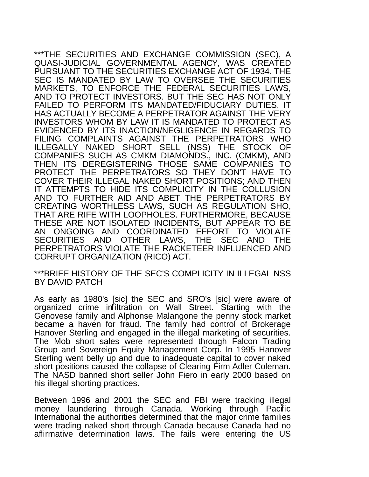\*\*\*THE SECURITIES AND EXCHANGE COMMISSION (SEC), A QUASI-JUDICIAL GOVERNMENTAL AGENCY, WAS CREATED PURSUANT TO THE SECURITIES EXCHANGE ACT OF 1934. THE SEC IS MANDATED BY LAW TO OVERSEE THE SECURITIES MARKETS, TO ENFORCE THE FEDERAL SECURITIES LAWS, AND TO PROTECT INVESTORS. BUT THE SEC HAS NOT ONLY FAILED TO PERFORM ITS MANDATED/FIDUCIARY DUTIES, IT HAS ACTUALLY BECOME A PERPETRATOR AGAINST THE VERY INVESTORS WHOM BY LAW IT IS MANDATED TO PROTECT AS EVIDENCED BY ITS INACTION/NEGLIGENCE IN REGARDS TO FILING COMPLAINTS AGAINST THE PERPETRATORS WHO ILLEGALLY NAKED SHORT SELL (NSS) THE STOCK OF COMPANIES SUCH AS CMKM DIAMONDS., INC. (CMKM), AND THEN ITS DEREGISTERING THOSE SAME COMPANIES TO PROTECT THE PERPETRATORS SO THEY DON'T HAVE TO COVER THEIR ILLEGAL NAKED SHORT POSITIONS; AND THEN IT ATTEMPTS TO HIDE ITS COMPLICITY IN THE COLLUSION AND TO FURTHER AID AND ABET THE PERPETRATORS BY CREATING WORTHLESS LAWS, SUCH AS REGULATION SHO, THAT ARE RIFE WITH LOOPHOLES. FURTHERMORE, BECAUSE THESE ARE NOT ISOLATED INCIDENTS, BUT APPEAR TO BE AN ONGOING AND COORDINATED EFFORT TO VIOLATE SECURITIES AND OTHER LAWS, THE SEC AND THE PERPETRATORS VIOLATE THE RACKETEER INFLUENCED AND CORRUPT ORGANIZATION (RICO) ACT.

\*\*\*BRIEF HISTORY OF THE SEC'S COMPLICITY IN ILLEGAL NSS BY DAVID PATCH

As early as 1980's [sic] the SEC and SRO's [sic] were aware of organized crime infiltration on Wall Street. Starting with the Genovese family and Alphonse Malangone the penny stock market became a haven for fraud. The family had control of Brokerage Hanover Sterling and engaged in the illegal marketing of securities. The Mob short sales were represented through Falcon Trading Group and Sovereign Equity Management Corp. In 1995 Hanover Sterling went belly up and due to inadequate capital to cover naked short positions caused the collapse of Clearing Firm Adler Coleman. The NASD banned short seller John Fiero in early 2000 based on his illegal shorting practices.

Between 1996 and 2001 the SEC and FBI were tracking illegal money laundering through Canada. Working through Pacific International the authorities determined that the major crime families were trading naked short through Canada because Canada had no affirmative determination laws. The fails were entering the US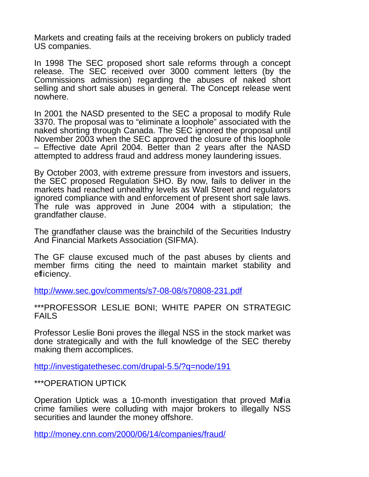Markets and creating fails at the receiving brokers on publicly traded US companies.

In 1998 The SEC proposed short sale reforms through a concept release. The SEC received over 3000 comment letters (by the Commissions admission) regarding the abuses of naked short selling and short sale abuses in general. The Concept release went nowhere.

In 2001 the NASD presented to the SEC a proposal to modify Rule 3370. The proposal was to "eliminate a loophole" associated with the naked shorting through Canada. The SEC ignored the proposal until November 2003 when the SEC approved the closure of this loophole – Effective date April 2004. Better than 2 years after the NASD attempted to address fraud and address money laundering issues.

By October 2003, with extreme pressure from investors and issuers, the SEC proposed Regulation SHO. By now, fails to deliver in the markets had reached unhealthy levels as Wall Street and regulators ignored compliance with and enforcement of present short sale laws. The rule was approved in June 2004 with a stipulation; the grandfather clause.

The grandfather clause was the brainchild of the Securities Industry And Financial Markets Association (SIFMA).

The GF clause excused much of the past abuses by clients and member firms citing the need to maintain market stability and efficiency.

<http://www.sec.gov/comments/s7-08-08/s70808-231.pdf>

\*\*\*PROFESSOR LESLIE BONI; WHITE PAPER ON STRATEGIC FAILS

Professor Leslie Boni proves the illegal NSS in the stock market was done strategically and with the full knowledge of the SEC thereby making them accomplices.

<http://investigatethesec.com/drupal-5.5/?q=node/191>

\*\*\*OPERATION UPTICK

Operation Uptick was a 10-month investigation that proved Mafia crime families were colluding with major brokers to illegally NSS securities and launder the money offshore.

<http://money.cnn.com/2000/06/14/companies/fraud/>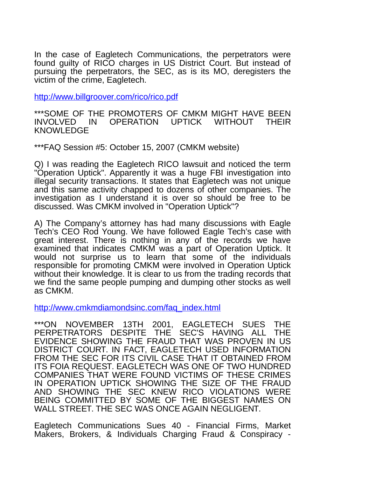In the case of Eagletech Communications, the perpetrators were found guilty of RICO charges in US District Court. But instead of pursuing the perpetrators, the SEC, as is its MO, deregisters the victim of the crime, Eagletech.

<http://www.billgroover.com/rico/rico.pdf>

\*\*\*SOME OF THE PROMOTERS OF CMKM MIGHT HAVE BEEN INVOLVED IN OPERATION UPTICK WITHOUT THEIR KNOWLEDGE

\*\*\*FAQ Session #5: October 15, 2007 (CMKM website)

Q) I was reading the Eagletech RICO lawsuit and noticed the term "Operation Uptick". Apparently it was a huge FBI investigation into illegal security transactions. It states that Eagletech was not unique and this same activity chapped to dozens of other companies. The investigation as I understand it is over so should be free to be discussed. Was CMKM involved in "Operation Uptick"?

A) The Company's attorney has had many discussions with Eagle Tech's CEO Rod Young. We have followed Eagle Tech's case with great interest. There is nothing in any of the records we have examined that indicates CMKM was a part of Operation Uptick. It would not surprise us to learn that some of the individuals responsible for promoting CMKM were involved in Operation Uptick without their knowledge. It is clear to us from the trading records that we find the same people pumping and dumping other stocks as well as CMKM.

[http://www.cmkmdiamondsinc.com/faq\\_index.html](http://www.cmkmdiamondsinc.com/faq_index.html)

\*\*\*ON NOVEMBER 13TH 2001, EAGLETECH SUES THE PERPETRATORS DESPITE THE SEC'S HAVING ALL THE EVIDENCE SHOWING THE FRAUD THAT WAS PROVEN IN US DISTRICT COURT. IN FACT, EAGLETECH USED INFORMATION FROM THE SEC FOR ITS CIVIL CASE THAT IT OBTAINED FROM ITS FOIA REQUEST. EAGLETECH WAS ONE OF TWO HUNDRED COMPANIES THAT WERE FOUND VICTIMS OF THESE CRIMES IN OPERATION UPTICK SHOWING THE SIZE OF THE FRAUD AND SHOWING THE SEC KNEW RICO VIOLATIONS WERE BEING COMMITTED BY SOME OF THE BIGGEST NAMES ON WALL STREET. THE SEC WAS ONCE AGAIN NEGLIGENT.

Eagletech Communications Sues 40 - Financial Firms, Market Makers, Brokers, & Individuals Charging Fraud & Conspiracy -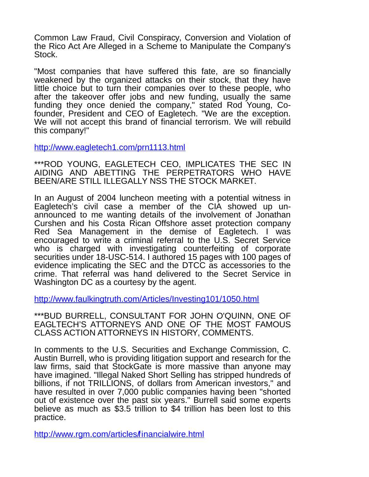Common Law Fraud, Civil Conspiracy, Conversion and Violation of the Rico Act Are Alleged in a Scheme to Manipulate the Company's Stock.

"Most companies that have suffered this fate, are so financially weakened by the organized attacks on their stock, that they have little choice but to turn their companies over to these people, who after the takeover offer jobs and new funding, usually the same funding they once denied the company," stated Rod Young, Cofounder, President and CEO of Eagletech. "We are the exception. We will not accept this brand of financial terrorism. We will rebuild this company!"

<http://www.eagletech1.com/prn1113.html>

\*\*\*ROD YOUNG, EAGLETECH CEO, IMPLICATES THE SEC IN AIDING AND ABETTING THE PERPETRATORS WHO HAVE BEEN/ARE STILL ILLEGALLY NSS THE STOCK MARKET.

In an August of 2004 luncheon meeting with a potential witness in Eagletech's civil case a member of the CIA showed up unannounced to me wanting details of the involvement of Jonathan Curshen and his Costa Rican Offshore asset protection company Red Sea Management in the demise of Eagletech. I was encouraged to write a criminal referral to the U.S. Secret Service who is charged with investigating counterfeiting of corporate securities under 18-USC-514. I authored 15 pages with 100 pages of evidence implicating the SEC and the DTCC as accessories to the crime. That referral was hand delivered to the Secret Service in Washington DC as a courtesy by the agent.

<http://www.faulkingtruth.com/Articles/Investing101/1050.html>

\*\*\*BUD BURRELL, CONSULTANT FOR JOHN O'QUINN, ONE OF EAGLTECH'S ATTORNEYS AND ONE OF THE MOST FAMOUS CLASS ACTION ATTORNEYS IN HISTORY, COMMENTS.

In comments to the U.S. Securities and Exchange Commission, C. Austin Burrell, who is providing litigation support and research for the law firms, said that StockGate is more massive than anyone may have imagined. "Illegal Naked Short Selling has stripped hundreds of billions, if not TRILLIONS, of dollars from American investors," and have resulted in over 7,000 public companies having been "shorted out of existence over the past six years." Burrell said some experts believe as much as \$3.5 trillion to \$4 trillion has been lost to this practice.

<http://www.rgm.com/articles/financialwire.html>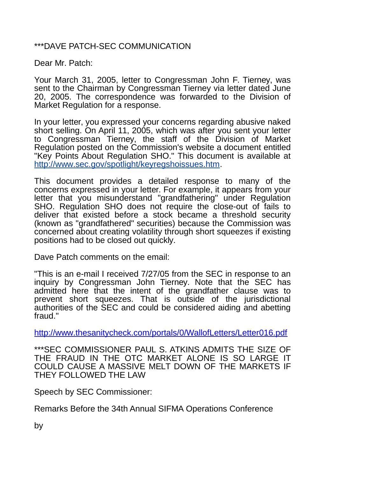## \*\*\*DAVE PATCH-SEC COMMUNICATION

Dear Mr. Patch:

Your March 31, 2005, letter to Congressman John F. Tierney, was sent to the Chairman by Congressman Tierney via letter dated June 20, 2005. The correspondence was forwarded to the Division of Market Regulation for a response.

In your letter, you expressed your concerns regarding abusive naked short selling. On April 11, 2005, which was after you sent your letter to Congressman Tierney, the staff of the Division of Market Regulation posted on the Commission's website a document entitled "Key Points About Regulation SHO." This document is available at [http://www.sec.gov/spotlight/keyregshoissues.htm.](http://www.sec.gov/spotlight/keyregshoissues.htm)

This document provides a detailed response to many of the concerns expressed in your letter. For example, it appears from your letter that you misunderstand "grandfathering" under Regulation SHO. Regulation SHO does not require the close-out of fails to deliver that existed before a stock became a threshold security (known as "grandfathered" securities) because the Commission was concerned about creating volatility through short squeezes if existing positions had to be closed out quickly.

Dave Patch comments on the email:

"This is an e-mail I received 7/27/05 from the SEC in response to an inquiry by Congressman John Tierney. Note that the SEC has admitted here that the intent of the grandfather clause was to prevent short squeezes. That is outside of the jurisdictional authorities of the SEC and could be considered aiding and abetting fraud."

<http://www.thesanitycheck.com/portals/0/WallofLetters/Letter016.pdf>

\*\*\*SEC COMMISSIONER PAUL S. ATKINS ADMITS THE SIZE OF THE FRAUD IN THE OTC MARKET ALONE IS SO LARGE IT COULD CAUSE A MASSIVE MELT DOWN OF THE MARKETS IF THEY FOLLOWED THE LAW

Speech by SEC Commissioner:

Remarks Before the 34th Annual SIFMA Operations Conference

by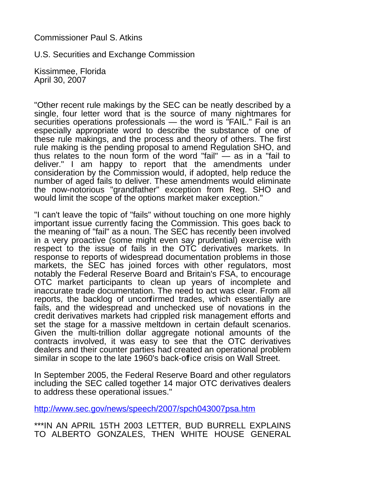## Commissioner Paul S. Atkins

U.S. Securities and Exchange Commission

Kissimmee, Florida April 30, 2007

"Other recent rule makings by the SEC can be neatly described by a single, four letter word that is the source of many nightmares for securities operations professionals — the word is "FAIL." Fail is an especially appropriate word to describe the substance of one of these rule makings, and the process and theory of others. The first rule making is the pending proposal to amend Regulation SHO, and thus relates to the noun form of the word "fail"  $-$  as in a "fail to deliver." I am happy to report that the amendments under consideration by the Commission would, if adopted, help reduce the number of aged fails to deliver. These amendments would eliminate the now-notorious "grandfather" exception from Reg. SHO and would limit the scope of the options market maker exception."

"I can't leave the topic of "fails" without touching on one more highly important issue currently facing the Commission. This goes back to the meaning of "fail" as a noun. The SEC has recently been involved in a very proactive (some might even say prudential) exercise with respect to the issue of fails in the OTC derivatives markets. In response to reports of widespread documentation problems in those markets, the SEC has joined forces with other regulators, most notably the Federal Reserve Board and Britain's FSA, to encourage OTC market participants to clean up years of incomplete and inaccurate trade documentation. The need to act was clear. From all reports, the backlog of unconfirmed trades, which essentially are fails, and the widespread and unchecked use of novations in the credit derivatives markets had crippled risk management efforts and set the stage for a massive meltdown in certain default scenarios. Given the multi-trillion dollar aggregate notional amounts of the contracts involved, it was easy to see that the OTC derivatives dealers and their counter parties had created an operational problem similar in scope to the late 1960's back-office crisis on Wall Street.

In September 2005, the Federal Reserve Board and other regulators including the SEC called together 14 major OTC derivatives dealers to address these operational issues."

<http://www.sec.gov/news/speech/2007/spch043007psa.htm>

\*\*\*IN AN APRIL 15TH 2003 LETTER, BUD BURRELL EXPLAINS TO ALBERTO GONZALES, THEN WHITE HOUSE GENERAL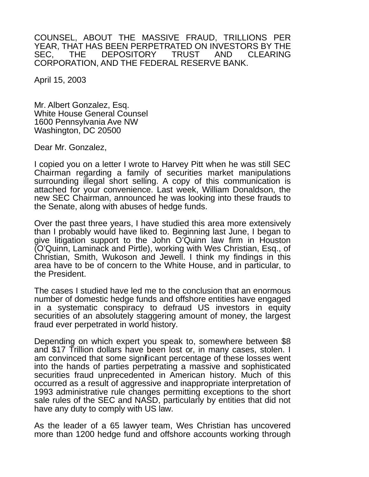COUNSEL, ABOUT THE MASSIVE FRAUD, TRILLIONS PER YEAR, THAT HAS BEEN PERPETRATED ON INVESTORS BY THE<br>SEC. THE DEPOSITORY TRUST AND CLEARING SEC. THE DEPOSITORY TRUST AND CORPORATION, AND THE FEDERAL RESERVE BANK.

April 15, 2003

Mr. Albert Gonzalez, Esq. White House General Counsel 1600 Pennsylvania Ave NW Washington, DC 20500

Dear Mr. Gonzalez,

I copied you on a letter I wrote to Harvey Pitt when he was still SEC Chairman regarding a family of securities market manipulations surrounding illegal short selling. A copy of this communication is attached for your convenience. Last week, William Donaldson, the new SEC Chairman, announced he was looking into these frauds to the Senate, along with abuses of hedge funds.

Over the past three years, I have studied this area more extensively than I probably would have liked to. Beginning last June, I began to give litigation support to the John O'Quinn law firm in Houston (O'Quinn, Laminack and Pirtle), working with Wes Christian, Esq., of Christian, Smith, Wukoson and Jewell. I think my findings in this area have to be of concern to the White House, and in particular, to the President.

The cases I studied have led me to the conclusion that an enormous number of domestic hedge funds and offshore entities have engaged in a systematic conspiracy to defraud US investors in equity securities of an absolutely staggering amount of money, the largest fraud ever perpetrated in world history.

Depending on which expert you speak to, somewhere between \$8 and \$17 Trillion dollars have been lost or, in many cases, stolen. I am convinced that some significant percentage of these losses went into the hands of parties perpetrating a massive and sophisticated securities fraud unprecedented in American history. Much of this occurred as a result of aggressive and inappropriate interpretation of 1993 administrative rule changes permitting exceptions to the short sale rules of the SEC and NASD, particularly by entities that did not have any duty to comply with US law.

As the leader of a 65 lawyer team, Wes Christian has uncovered more than 1200 hedge fund and offshore accounts working through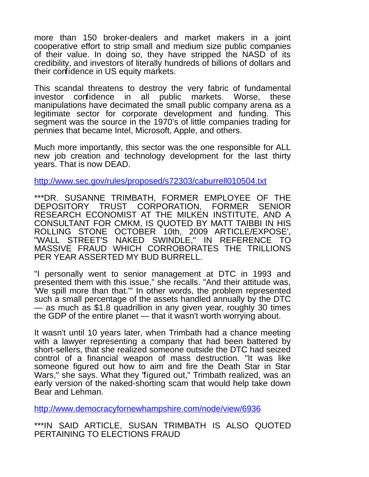more than 150 broker-dealers and market makers in a joint cooperative effort to strip small and medium size public companies of their value. In doing so, they have stripped the NASD of its credibility, and investors of literally hundreds of billions of dollars and their confidence in US equity markets.

This scandal threatens to destroy the very fabric of fundamental investor confidence in all public markets. Worse, these manipulations have decimated the small public company arena as a legitimate sector for corporate development and funding. This segment was the source in the 1970's of little companies trading for pennies that became Intel, Microsoft, Apple, and others.

Much more importantly, this sector was the one responsible for ALL new job creation and technology development for the last thirty years. That is now DEAD.

<http://www.sec.gov/rules/proposed/s72303/caburrell010504.txt>

\*\*\*DR. SUSANNE TRIMBATH, FORMER EMPLOYEE OF THE CORPORATION, FORMER SENIOR RESEARCH ECONOMIST AT THE MILKEN INSTITUTE, AND A CONSULTANT FOR CMKM, IS QUOTED BY MATT TAIBBI IN HIS ROLLING STONE OCTOBER 10th, 2009 ARTICLE/EXPOSE', "WALL STREET'S NAKED SWINDLE," IN REFERENCE TO MASSIVE FRAUD WHICH CORROBORATES THE TRILLIONS PER YEAR ASSERTED MY BUD BURRELL.

"I personally went to senior management at DTC in 1993 and presented them with this issue," she recalls. "And their attitude was, 'We spill more than that.'" In other words, the problem represented such a small percentage of the assets handled annually by the DTC — as much as \$1.8 quadrillion in any given year, roughly 30 times the GDP of the entire planet — that it wasn't worth worrying about.

It wasn't until 10 years later, when Trimbath had a chance meeting with a lawyer representing a company that had been battered by short-sellers, that she realized someone outside the DTC had seized control of a financial weapon of mass destruction. "It was like someone figured out how to aim and fire the Death Star in Star Wars," she says. What they "figured out," Trimbath realized, was an early version of the naked-shorting scam that would help take down Bear and Lehman.

<http://www.democracyfornewhampshire.com/node/view/6936>

\*\*\*IN SAID ARTICLE, SUSAN TRIMBATH IS ALSO QUOTED PERTAINING TO ELECTIONS FRAUD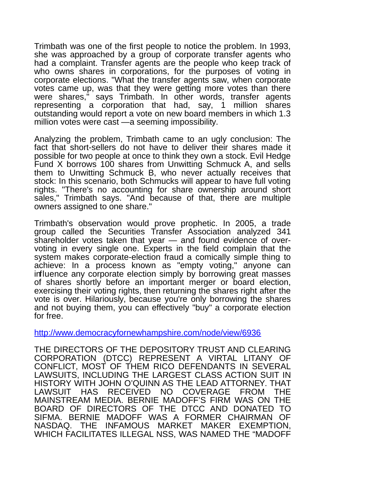Trimbath was one of the first people to notice the problem. In 1993, she was approached by a group of corporate transfer agents who had a complaint. Transfer agents are the people who keep track of who owns shares in corporations, for the purposes of voting in corporate elections. "What the transfer agents saw, when corporate votes came up, was that they were getting more votes than there were shares," says Trimbath. In other words, transfer agents representing a corporation that had, say, 1 million shares outstanding would report a vote on new board members in which 1.3 million votes were cast —a seeming impossibility.

Analyzing the problem, Trimbath came to an ugly conclusion: The fact that short-sellers do not have to deliver their shares made it possible for two people at once to think they own a stock. Evil Hedge Fund X borrows 100 shares from Unwitting Schmuck A, and sells them to Unwitting Schmuck B, who never actually receives that stock: In this scenario, both Schmucks will appear to have full voting rights. "There's no accounting for share ownership around short sales," Trimbath says. "And because of that, there are multiple owners assigned to one share."

Trimbath's observation would prove prophetic. In 2005, a trade group called the Securities Transfer Association analyzed 341 shareholder votes taken that year — and found evidence of overvoting in every single one. Experts in the field complain that the system makes corporate-election fraud a comically simple thing to achieve: In a process known as "empty voting," anyone can influence any corporate election simply by borrowing great masses of shares shortly before an important merger or board election, exercising their voting rights, then returning the shares right after the vote is over. Hilariously, because you're only borrowing the shares and not buying them, you can effectively "buy" a corporate election for free.

<http://www.democracyfornewhampshire.com/node/view/6936>

THE DIRECTORS OF THE DEPOSITORY TRUST AND CLEARING CORPORATION (DTCC) REPRESENT A VIRTAL LITANY OF CONFLICT, MOST OF THEM RICO DEFENDANTS IN SEVERAL LAWSUITS, INCLUDING THE LARGEST CLASS ACTION SUIT IN HISTORY WITH JOHN O'QUINN AS THE LEAD ATTORNEY. THAT LAWSUIT HAS RECEIVED NO COVERAGE FROM THE MAINSTREAM MEDIA. BERNIE MADOFF'S FIRM WAS ON THE BOARD OF DIRECTORS OF THE DTCC AND DONATED TO SIFMA. BERNIE MADOFF WAS A FORMER CHAIRMAN OF NASDAQ. THE INFAMOUS MARKET MAKER EXEMPTION, WHICH FACILITATES ILLEGAL NSS, WAS NAMED THE "MADOFF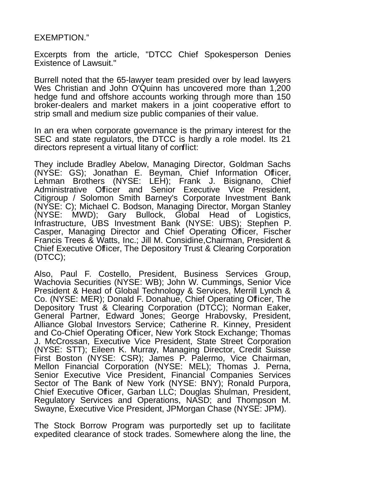## EXEMPTION."

Excerpts from the article, "DTCC Chief Spokesperson Denies Existence of Lawsuit."

Burrell noted that the 65-lawyer team presided over by lead lawyers Wes Christian and John O'Quinn has uncovered more than 1,200 hedge fund and offshore accounts working through more than 150 broker-dealers and market makers in a joint cooperative effort to strip small and medium size public companies of their value.

In an era when corporate governance is the primary interest for the SEC and state regulators, the DTCC is hardly a role model. Its 21 directors represent a virtual litany of conflict:

They include Bradley Abelow, Managing Director, Goldman Sachs (NYSE: GS); Jonathan E. Beyman, Chief Information Officer, Lehman Brothers (NYSE: LEH); Frank J. Bisignano, Chief Administrative Officer and Senior Executive Vice President, Citigroup / Solomon Smith Barney's Corporate Investment Bank (NYSE: C); Michael C. Bodson, Managing Director, Morgan Stanley (NYSE: MWD); Gary Bullock, Global Head of Logistics, Infrastructure, UBS Investment Bank (NYSE: UBS); Stephen P. Casper, Managing Director and Chief Operating Officer, Fischer Francis Trees & Watts, Inc.; Jill M. Considine,Chairman, President & Chief Executive Officer, The Depository Trust & Clearing Corporation (DTCC);

Also, Paul F. Costello, President, Business Services Group, Wachovia Securities (NYSE: WB); John W. Cummings, Senior Vice President & Head of Global Technology & Services, Merrill Lynch & Co. (NYSE: MER); Donald F. Donahue, Chief Operating Officer, The Depository Trust & Clearing Corporation (DTCC); Norman Eaker, General Partner, Edward Jones; George Hrabovsky, President, Alliance Global Investors Service; Catherine R. Kinney, President and Co-Chief Operating Officer, New York Stock Exchange; Thomas J. McCrossan, Executive Vice President, State Street Corporation (NYSE: STT); Eileen K. Murray, Managing Director, Credit Suisse First Boston (NYSE: CSR); James P. Palermo, Vice Chairman, Mellon Financial Corporation (NYSE: MEL); Thomas J. Perna, Senior Executive Vice President, Financial Companies Services Sector of The Bank of New York (NYSE: BNY); Ronald Purpora, Chief Executive Officer, Garban LLC; Douglas Shulman, President, Regulatory Services and Operations, NASD; and Thompson M. Swayne, Executive Vice President, JPMorgan Chase (NYSE: JPM).

The Stock Borrow Program was purportedly set up to facilitate expedited clearance of stock trades. Somewhere along the line, the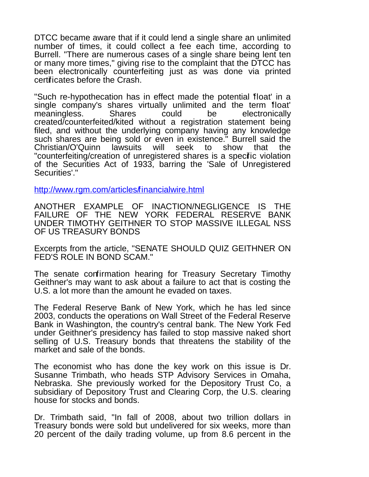DTCC became aware that if it could lend a single share an unlimited number of times, it could collect a fee each time, according to Burrell. "There are numerous cases of a single share being lent ten or many more times," giving rise to the complaint that the DTCC has been electronically counterfeiting just as was done via printed certificates before the Crash.

"Such re-hypothecation has in effect made the potential 'float' in a single company's shares virtually unlimited and the term 'float' meaningless. Shares could be electronically created/counterfeited/kited without a registration statement being filed, and without the underlying company having any knowledge such shares are being sold or even in existence." Burrell said the Christian/O'Quinn lawsuits will seek to show that the "counterfeiting/creation of unregistered shares is a specific violation of the Securities Act of 1933, barring the 'Sale of Unregistered Securities'."

<http://www.rgm.com/articles/financialwire.html>

ANOTHER EXAMPLE OF INACTION/NEGLIGENCE IS THE FAILURE OF THE NEW YORK FEDERAL RESERVE BANK UNDER TIMOTHY GEITHNER TO STOP MASSIVE ILLEGAL NSS OF US TREASURY BONDS

Excerpts from the article, "SENATE SHOULD QUIZ GEITHNER ON FED'S ROLE IN BOND SCAM."

The senate confirmation hearing for Treasury Secretary Timothy Geithner's may want to ask about a failure to act that is costing the U.S. a lot more than the amount he evaded on taxes.

The Federal Reserve Bank of New York, which he has led since 2003, conducts the operations on Wall Street of the Federal Reserve Bank in Washington, the country's central bank. The New York Fed under Geithner's presidency has failed to stop massive naked short selling of U.S. Treasury bonds that threatens the stability of the market and sale of the bonds.

The economist who has done the key work on this issue is Dr. Susanne Trimbath, who heads STP Advisory Services in Omaha, Nebraska. She previously worked for the Depository Trust Co, a subsidiary of Depository Trust and Clearing Corp, the U.S. clearing house for stocks and bonds.

Dr. Trimbath said, "In fall of 2008, about two trillion dollars in Treasury bonds were sold but undelivered for six weeks, more than 20 percent of the daily trading volume, up from 8.6 percent in the